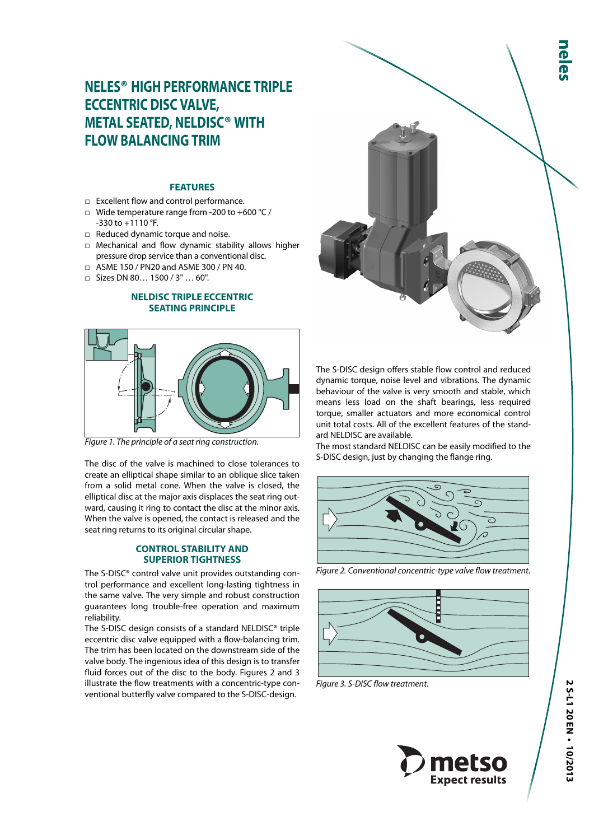# **NELES® HIGH PERFORMANCE TRIPLE ECCENTRIC DISC VALVE, METAL SEATED, NELDISC® WITH FLOW BALANCING TRIM**

## **FEATURES**

- □ Excellent flow and control performance.
- □ Wide temperature range from -200 to +600 °C / -330 to +1110 °F.
- □ Reduced dynamic torque and noise.
- □ Mechanical and flow dynamic stability allows higher pressure drop service than a conventional disc.
- □ ASME 150 / PN20 and ASME 300 / PN 40.
- □ Sizes DN 80… 1500 / 3" … 60".

## **NELDISC TRIPLE ECCENTRIC SEATING PRINCIPLE**



Figure 1. The principle of a seat ring construction.

The disc of the valve is machined to close tolerances to create an elliptical shape similar to an oblique slice taken from a solid metal cone. When the valve is closed, the elliptical disc at the major axis displaces the seat ring outward, causing it ring to contact the disc at the minor axis. When the valve is opened, the contact is released and the seat ring returns to its original circular shape.

### **CONTROL STABILITY AND SUPERIOR TIGHTNESS**

The S-DISC® control valve unit provides outstanding control performance and excellent long-lasting tightness in the same valve. The very simple and robust construction guarantees long trouble-free operation and maximum reliability.

The S-DISC design consists of a standard NELDISC® triple eccentric disc valve equipped with a flow-balancing trim. The trim has been located on the downstream side of the valve body. The ingenious idea of this design is to transfer fluid forces out of the disc to the body. Figures 2 and 3 illustrate the flow treatments with a concentric-type conventional butterfly valve compared to the S-DISC-design.



The S-DlSC design offers stable flow control and reduced dynamic torque, noise level and vibrations. The dynamic behaviour of the valve is very smooth and stable, which means less load on the shaft bearings, less required torque, smaller actuators and more economical control unit total costs. All of the excellent features of the standard NELDISC are available.

The most standard NELDISC can be easily modified to the S-DISC design, just by changing the flange ring.



Figure 2. Conventional concentric-type valve flow treatment.



Figure 3. S-DISC flow treatment.